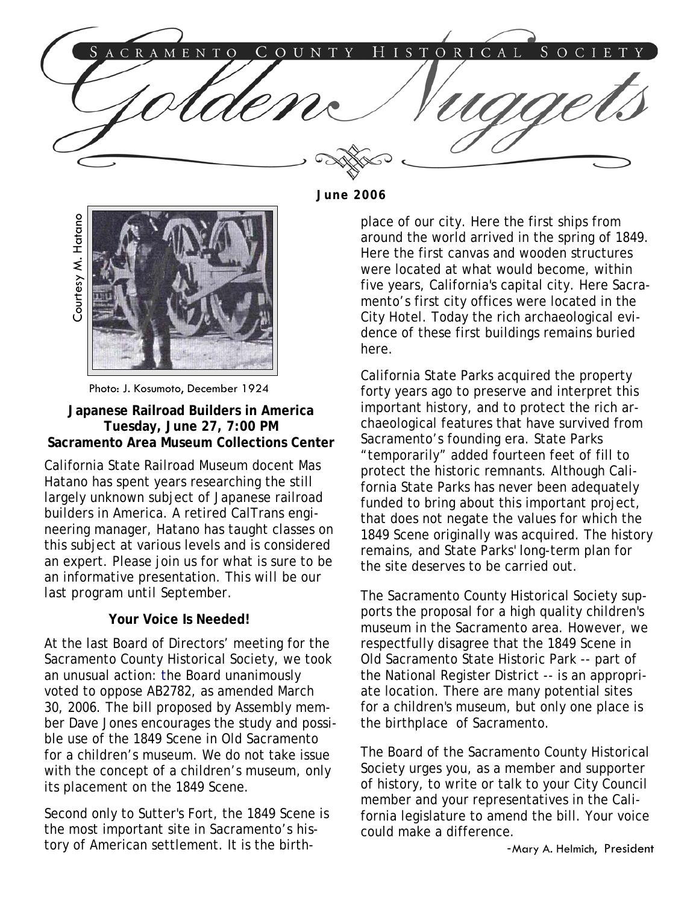

**June 2006** 



Photo: J. Kosumoto, December 1924

**Japanese Railroad Builders in America Tuesday, June 27, 7:00 PM Sacramento Area Museum Collections Center** 

California State Railroad Museum docent Mas Hatano has spent years researching the still largely unknown subject of Japanese railroad builders in America. A retired CalTrans engineering manager, Hatano has taught classes on this subject at various levels and is considered an expert. Please join us for what is sure to be an informative presentation. *This will be our last program until September.* 

### **Your Voice Is Needed!**

At the last Board of Directors' meeting for the Sacramento County Historical Society, we took an unusual action: the Board unanimously voted to oppose AB2782, as amended March 30, 2006. The bill proposed by Assembly member Dave Jones encourages the study and possible use of the 1849 Scene in Old Sacramento for a children's museum. We do not take issue with the concept of a children's museum, only its placement on the 1849 Scene.

Second only to Sutter's Fort, the 1849 Scene is the most important site in Sacramento's history of American settlement. It is the birthplace of our city. Here the first ships from around the world arrived in the spring of 1849. Here the first canvas and wooden structures were located at what would become, within five years, California's capital city. Here Sacramento's first city offices were located in the City Hotel. Today the rich archaeological evidence of these first buildings remains buried here.

California State Parks acquired the property forty years ago to preserve and interpret this important history, and to protect the rich archaeological features that have survived from Sacramento's founding era. State Parks "temporarily" added fourteen feet of fill to protect the historic remnants. Although California State Parks has never been adequately funded to bring about this important project, that does not negate the values for which the 1849 Scene originally was acquired. The history remains, and State Parks' long-term plan for the site deserves to be carried out.

The Sacramento County Historical Society supports the proposal for a high quality children's museum in the Sacramento area. However, we respectfully disagree that the 1849 Scene in Old Sacramento State Historic Park -- part of the National Register District -- is an appropriate location. There are many potential sites for a children's museum, but only one place is the birthplace of Sacramento.

The Board of the Sacramento County Historical Society urges you, as a member and supporter of history, to write or talk to your City Council member and your representatives in the California legislature to amend the bill. Your voice could make a difference.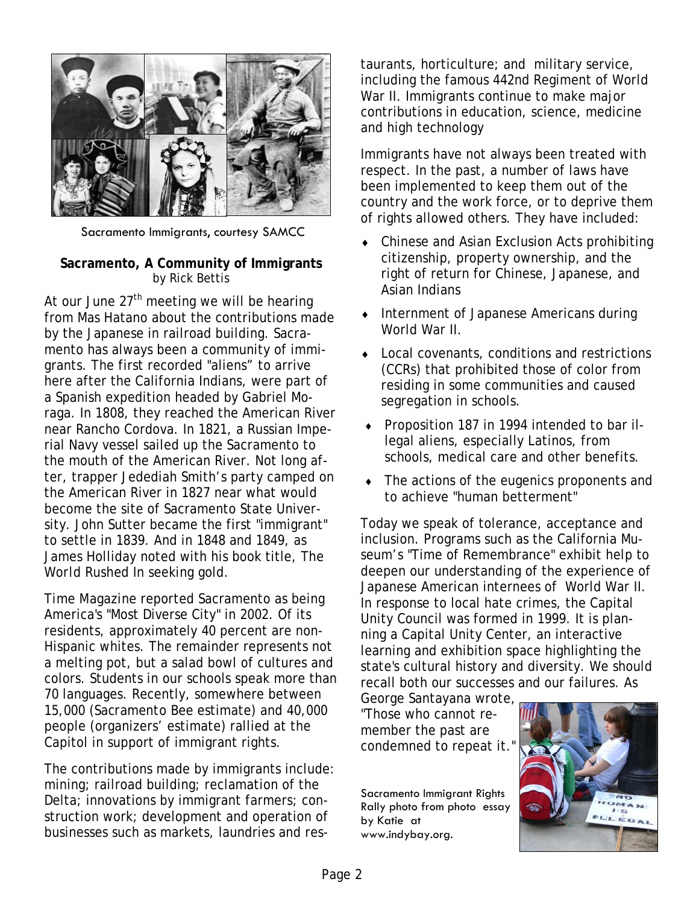

Sacramento Immigrants, courtesy SAMCC

### **Sacramento, A Community of Immigrants**  by Rick Bettis

At our June  $27<sup>th</sup>$  meeting we will be hearing from Mas Hatano about the contributions made by the Japanese in railroad building. Sacramento has always been a community of immigrants. The first recorded "aliens" to arrive here after the California Indians, were part of a Spanish expedition headed by Gabriel Moraga. In 1808, they reached the American River near Rancho Cordova. In 1821, a Russian Imperial Navy vessel sailed up the Sacramento to the mouth of the American River. Not long after, trapper Jedediah Smith's party camped on the American River in 1827 near what would become the site of Sacramento State University. John Sutter became the first "immigrant" to settle in 1839. And in 1848 and 1849, as James Holliday noted with his book title, *The World Rushed In* seeking gold.

*Time Magazine* reported Sacramento as being America's "Most Diverse City" in 2002. Of its residents, approximately 40 percent are non-Hispanic whites. The remainder represents not a melting pot, but a salad bowl of cultures and colors. Students in our schools speak more than 70 languages. Recently, somewhere between 15,000 (*Sacramento Bee* estimate) and 40,000 people (organizers' estimate) rallied at the Capitol in support of immigrant rights.

The contributions made by immigrants include: mining; railroad building; reclamation of the Delta; innovations by immigrant farmers; construction work; development and operation of businesses such as markets, laundries and restaurants, horticulture; and military service, including the famous 442nd Regiment of World War II. Immigrants continue to make major contributions in education, science, medicine and high technology

Immigrants have not always been treated with respect. In the past, a number of laws have been implemented to keep them out of the country and the work force, or to deprive them of rights allowed others. They have included:

- Chinese and Asian Exclusion Acts prohibiting citizenship, property ownership, and the right of return for Chinese, Japanese, and Asian Indians
- Internment of Japanese Americans during World War II.
- **Local covenants, conditions and restrictions** (CCRs) that prohibited those of color from residing in some communities and caused segregation in schools.
- ♦ Proposition 187 in 1994 intended to bar illegal aliens, especially Latinos, from schools, medical care and other benefits.
- ♦ The actions of the eugenics proponents and to achieve "human betterment"

Today we speak of tolerance, acceptance and inclusion. Programs such as the California Museum's "Time of Remembrance" exhibit help to deepen our understanding of the experience of Japanese American internees of World War II. In response to local hate crimes, the Capital Unity Council was formed in 1999. It is planning a Capital Unity Center, an interactive learning and exhibition space highlighting the state's cultural history and diversity. We should recall both our successes and our failures. As

George Santayana wrote, "Those who cannot remember the past are condemned to repeat it."

Sacramento Immigrant Rights Rally photo from photo essay by Katie at www.indybay.org.

![](_page_1_Picture_16.jpeg)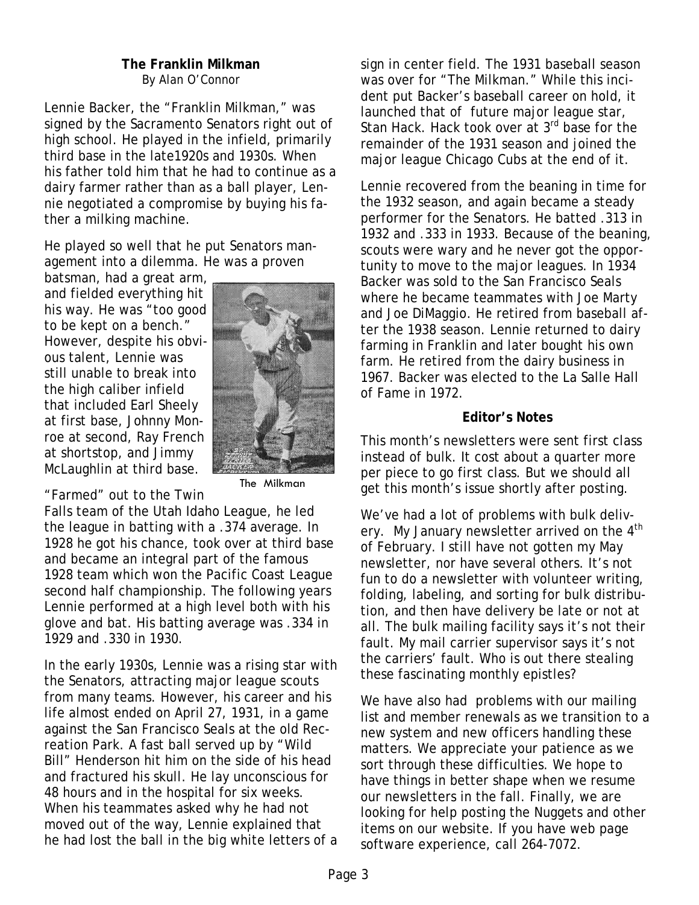### **The Franklin Milkman**  By Alan O'Connor

Lennie Backer, the "Franklin Milkman," was signed by the Sacramento Senators right out of high school. He played in the infield, primarily third base in the late1920s and 1930s. When his father told him that he had to continue as a dairy farmer rather than as a ball player, Lennie negotiated a compromise by buying his father a milking machine.

He played so well that he put Senators management into a dilemma. He was a proven

batsman, had a great arm, and fielded everything hit his way. He was "too good to be kept on a bench." However, despite his obvious talent, Lennie was still unable to break into the high caliber infield that included Earl Sheely at first base, Johnny Monroe at second, Ray French at shortstop, and Jimmy McLaughlin at third base.

![](_page_2_Picture_4.jpeg)

The Milkman

"Farmed" out to the Twin Falls team of the Utah Idaho League, he led the league in batting with a .374 average. In 1928 he got his chance, took over at third base and became an integral part of the famous 1928 team which won the Pacific Coast League second half championship. The following years Lennie performed at a high level both with his glove and bat. His batting average was .334 in 1929 and .330 in 1930.

In the early 1930s, Lennie was a rising star with the Senators, attracting major league scouts from many teams. However, his career and his life almost ended on April 27, 1931, in a game against the San Francisco Seals at the old Recreation Park. A fast ball served up by "Wild Bill" Henderson hit him on the side of his head and fractured his skull. He lay unconscious for 48 hours and in the hospital for six weeks. When his teammates asked why he had not moved out of the way, Lennie explained that he had lost the ball in the big white letters of a sign in center field. The 1931 baseball season was over for "The Milkman." While this incident put Backer's baseball career on hold, it launched that of future major league star, Stan Hack. Hack took over at 3<sup>rd</sup> base for the remainder of the 1931 season and joined the major league Chicago Cubs at the end of it.

Lennie recovered from the beaning in time for the 1932 season, and again became a steady performer for the Senators. He batted .313 in 1932 and .333 in 1933. Because of the beaning, scouts were wary and he never got the opportunity to move to the major leagues. In 1934 Backer was sold to the San Francisco Seals where he became teammates with Joe Marty and Joe DiMaggio. He retired from baseball after the 1938 season. Lennie returned to dairy farming in Franklin and later bought his own farm. He retired from the dairy business in 1967. Backer was elected to the La Salle Hall of Fame in 1972.

## **Editor's Notes**

This month's newsletters were sent first class instead of bulk. It cost about a quarter more per piece to go first class. But we should all get this month's issue shortly after posting.

We've had a lot of problems with bulk delivery. My January newsletter arrived on the 4<sup>th</sup> of February. I still have not gotten my May newsletter, nor have several others. It's not fun to do a newsletter with volunteer writing, folding, labeling, and sorting for bulk distribution, and then have delivery be late or not at all. The bulk mailing facility says it's not their fault. My mail carrier supervisor says it's not the carriers' fault. Who is out there stealing these fascinating monthly epistles?

We have also had problems with our mailing list and member renewals as we transition to a new system and new officers handling these matters. We appreciate your patience as we sort through these difficulties. We hope to have things in better shape when we resume our newsletters in the fall. Finally, we are looking for help posting the Nuggets and other items on our website. If you have web page software experience, call 264-7072.